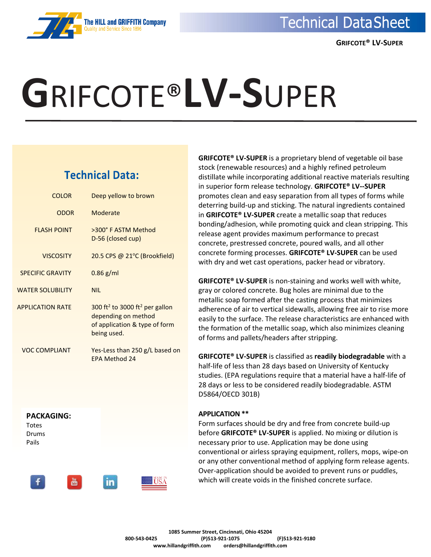### **The HILL and GRIFFITH Company**

# **G**RIFCOTE®**LV-S**UPER

### **Technical Data:**

| COLOR                   | Deep yellow to brown                                                                                                          |
|-------------------------|-------------------------------------------------------------------------------------------------------------------------------|
| <b>ODOR</b>             | Moderate                                                                                                                      |
| <b>FLASH POINT</b>      | >300° F ASTM Method<br>D-56 (closed cup)                                                                                      |
| <b>VISCOSITY</b>        | 20.5 CPS @ 21°C (Brookfield)                                                                                                  |
| <b>SPECIFIC GRAVITY</b> | $0.86$ g/ml                                                                                                                   |
| <b>WATER SOLUBILITY</b> | <b>NIL</b>                                                                                                                    |
| <b>APPLICATION RATE</b> | 300 ft <sup>2</sup> to 3000 ft <sup>2</sup> per gallon<br>depending on method<br>of application & type of form<br>being used. |
| VOC COMPLIANT           | Yes-Less than 250 g/L based on<br>FPA Method 24                                                                               |



in.

**GRIFCOTE® LV-SUPER** is a proprietary blend of vegetable oil base stock (renewable resources) and a highly refined petroleum distillate while incorporating additional reactive materials resulting in superior form release technology. **GRIFCOTE® LV--SUPER** promotes clean and easy separation from all types of forms while deterring build-up and sticking. The natural ingredients contained in **GRIFCOTE® LV-SUPER** create a metallic soap that reduces bonding/adhesion, while promoting quick and clean stripping. This release agent provides maximum performance to precast concrete, prestressed concrete, poured walls, and all other concrete forming processes. **GRIFCOTE® LV-SUPER** can be used with dry and wet cast operations, packer head or vibratory.

**GRIFCOTE® LV-SUPER** is non-staining and works well with white, gray or colored concrete. Bug holes are minimal due to the metallic soap formed after the casting process that minimizes adherence of air to vertical sidewalls, allowing free air to rise more easily to the surface. The release characteristics are enhanced with the formation of the metallic soap, which also minimizes cleaning of forms and pallets/headers after stripping.

**GRIFCOTE® LV-SUPER** is classified as **readily biodegradable** with a half-life of less than 28 days based on University of Kentucky studies. (EPA regulations require that a material have a half-life of 28 days or less to be considered readily biodegradable. ASTM D5864/OECD 301B)

#### **APPLICATION \*\***

Form surfaces should be dry and free from concrete build-up before **GRIFCOTE® LV-SUPER** is applied. No mixing or dilution is necessary prior to use. Application may be done using conventional or airless spraying equipment, rollers, mops, wipe-on or any other conventional method of applying form release agents. Over-application should be avoided to prevent runs or puddles, which will create voids in the finished concrete surface.